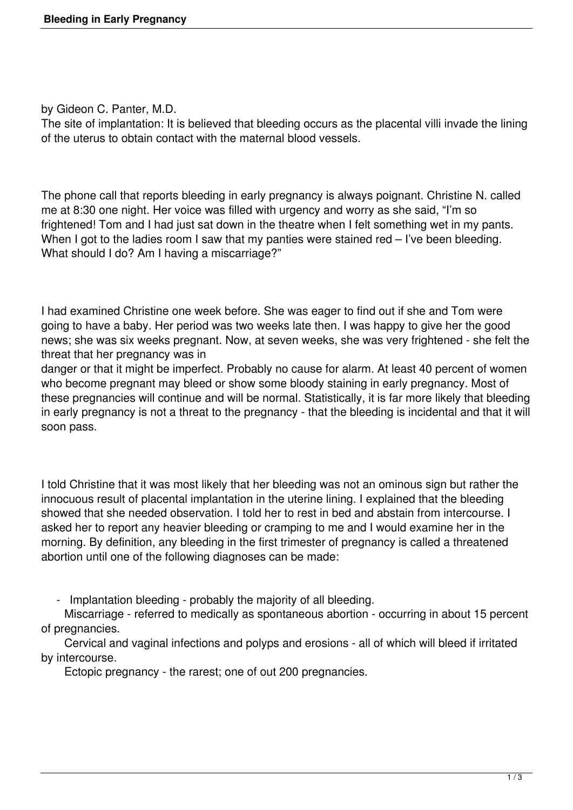by Gideon C. Panter, M.D.

The site of implantation: It is believed that bleeding occurs as the placental villi invade the lining of the uterus to obtain contact with the maternal blood vessels.

The phone call that reports bleeding in early pregnancy is always poignant. Christine N. called me at 8:30 one night. Her voice was filled with urgency and worry as she said, "I'm so frightened! Tom and I had just sat down in the theatre when I felt something wet in my pants. When I got to the ladies room I saw that my panties were stained red – I've been bleeding. What should I do? Am I having a miscarriage?"

I had examined Christine one week before. She was eager to find out if she and Tom were going to have a baby. Her period was two weeks late then. I was happy to give her the good news; she was six weeks pregnant. Now, at seven weeks, she was very frightened - she felt the threat that her pregnancy was in

danger or that it might be imperfect. Probably no cause for alarm. At least 40 percent of women who become pregnant may bleed or show some bloody staining in early pregnancy. Most of these pregnancies will continue and will be normal. Statistically, it is far more likely that bleeding in early pregnancy is not a threat to the pregnancy - that the bleeding is incidental and that it will soon pass.

I told Christine that it was most likely that her bleeding was not an ominous sign but rather the innocuous result of placental implantation in the uterine lining. I explained that the bleeding showed that she needed observation. I told her to rest in bed and abstain from intercourse. I asked her to report any heavier bleeding or cramping to me and I would examine her in the morning. By definition, any bleeding in the first trimester of pregnancy is called a threatened abortion until one of the following diagnoses can be made:

- Implantation bleeding - probably the majority of all bleeding.

Miscarriage - referred to medically as spontaneous abortion - occurring in about 15 percent of pregnancies.

Cervical and vaginal infections and polyps and erosions - all of which will bleed if irritated by intercourse.

Ectopic pregnancy - the rarest; one of out 200 pregnancies.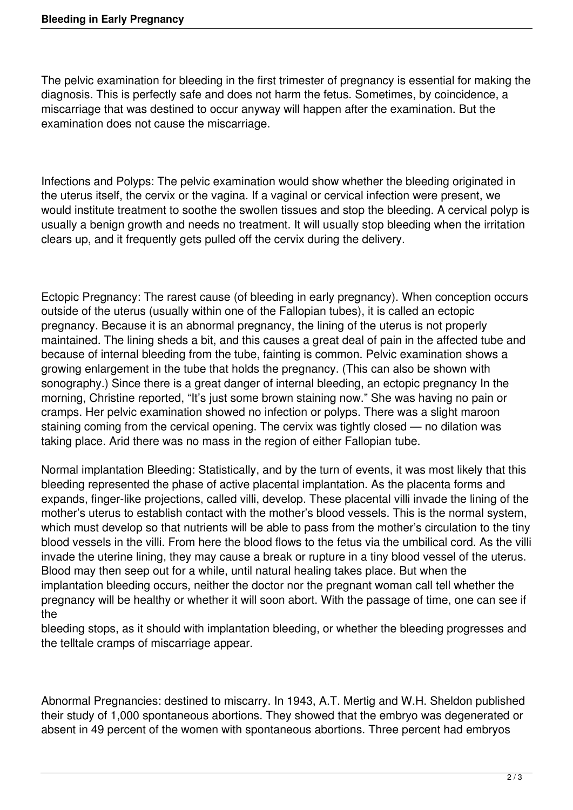The pelvic examination for bleeding in the first trimester of pregnancy is essential for making the diagnosis. This is perfectly safe and does not harm the fetus. Sometimes, by coincidence, a miscarriage that was destined to occur anyway will happen after the examination. But the examination does not cause the miscarriage.

Infections and Polyps: The pelvic examination would show whether the bleeding originated in the uterus itself, the cervix or the vagina. If a vaginal or cervical infection were present, we would institute treatment to soothe the swollen tissues and stop the bleeding. A cervical polyp is usually a benign growth and needs no treatment. It will usually stop bleeding when the irritation clears up, and it frequently gets pulled off the cervix during the delivery.

Ectopic Pregnancy: The rarest cause (of bleeding in early pregnancy). When conception occurs outside of the uterus (usually within one of the Fallopian tubes), it is called an ectopic pregnancy. Because it is an abnormal pregnancy, the lining of the uterus is not properly maintained. The lining sheds a bit, and this causes a great deal of pain in the affected tube and because of internal bleeding from the tube, fainting is common. Pelvic examination shows a growing enlargement in the tube that holds the pregnancy. (This can also be shown with sonography.) Since there is a great danger of internal bleeding, an ectopic pregnancy In the morning, Christine reported, "It's just some brown staining now." She was having no pain or cramps. Her pelvic examination showed no infection or polyps. There was a slight maroon staining coming from the cervical opening. The cervix was tightly closed — no dilation was taking place. Arid there was no mass in the region of either Fallopian tube.

Normal implantation Bleeding: Statistically, and by the turn of events, it was most likely that this bleeding represented the phase of active placental implantation. As the placenta forms and expands, finger-like projections, called villi, develop. These placental villi invade the lining of the mother's uterus to establish contact with the mother's blood vessels. This is the normal system, which must develop so that nutrients will be able to pass from the mother's circulation to the tiny blood vessels in the villi. From here the blood flows to the fetus via the umbilical cord. As the villi invade the uterine lining, they may cause a break or rupture in a tiny blood vessel of the uterus. Blood may then seep out for a while, until natural healing takes place. But when the implantation bleeding occurs, neither the doctor nor the pregnant woman call tell whether the pregnancy will be healthy or whether it will soon abort. With the passage of time, one can see if the

bleeding stops, as it should with implantation bleeding, or whether the bleeding progresses and the telltale cramps of miscarriage appear.

Abnormal Pregnancies: destined to miscarry. In 1943, A.T. Mertig and W.H. Sheldon published their study of 1,000 spontaneous abortions. They showed that the embryo was degenerated or absent in 49 percent of the women with spontaneous abortions. Three percent had embryos